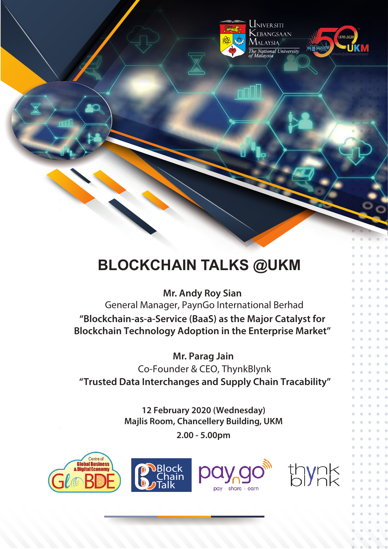

UNIVERSITI .<br>Lebangsaan  $\Lambda$ laysia *TYTALATSIA*<br>The National University<br>of Malaysia



# **BLOCKCHAIN TALKS @UKM**

**Mr. Andy Roy Sian**  General Manager, PaynGo International Berhad **"Blockchain-as-a-Service (BaaS) as the Major Catalyst for Blockchain Technology Adoption in the Enterprise Market"**

**Mr. Parag Jain** Co-Founder & CEO, ThynkBlynk **"Trusted Data Interchanges and Supply Chain Tracability"**

> **12 February 2020 (Wednesday) Majlis Room, Chancellery Building, UKM 2.00 - 5.00pm**







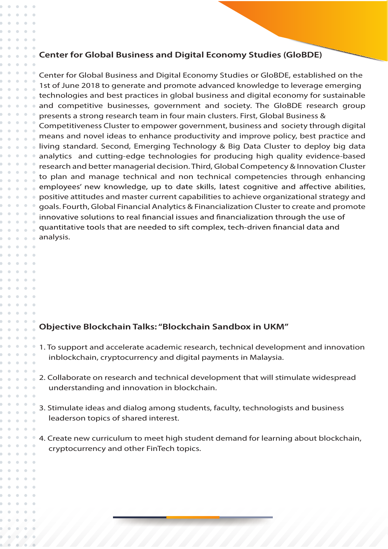#### **Center for Global Business and Digital Economy Studies (GloBDE)**

Center for Global Business and Digital Economy Studies or GloBDE, established on the 1st of June 2018 to generate and promote advanced knowledge to leverage emerging technologies and best practices in global business and digital economy for sustainable and competitive businesses, government and society. The GloBDE research group presents a strong research team in four main clusters. First, Global Business & Competitiveness Cluster to empower government, business and society through digital means and novel ideas to enhance productivity and improve policy, best practice and living standard. Second, Emerging Technology & Big Data Cluster to deploy big data analytics and cutting-edge technologies for producing high quality evidence-based research and better managerial decision. Third, Global Competency & Innovation Cluster to plan and manage technical and non technical competencies through enhancing employees' new knowledge, up to date skills, latest cognitive and affective abilities, positive attitudes and master current capabilities to achieve organizational strategy and goals. Fourth, Global Financial Analytics & Financialization Cluster to create and promote innovative solutions to real financial issues and financialization through the use of quantitative tools that are needed to sift complex, tech-driven financial data and analysis.

#### **Objective Blockchain Talks: "Blockchain Sandbox in UKM"**

 $\overline{\phantom{a}}$ 

 $\Box$  $\alpha$  $\alpha$ 

 $\bullet$ 

- 1. To support and accelerate academic research, technical development and innovation inblockchain, cryptocurrency and digital payments in Malaysia.
- 2. Collaborate on research and technical development that will stimulate widespread understanding and innovation in blockchain.
- 3. Stimulate ideas and dialog among students, faculty, technologists and business leaderson topics of shared interest.
- 4. Create new curriculum to meet high student demand for learning about blockchain, cryptocurrency and other FinTech topics.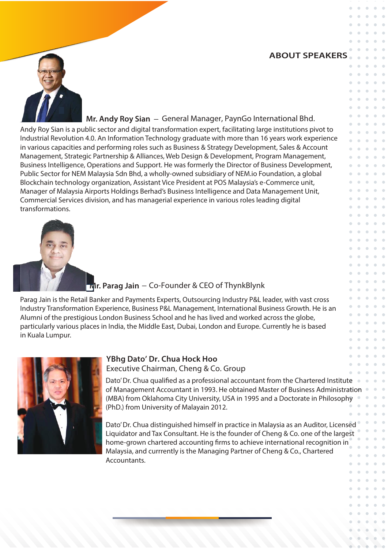## **ABOUT SPEAKERS**

 $\sim$ 

 $\sim$ 



**Mr. Andy Roy Sian** – General Manager, PaynGo International Bhd.

Andy Roy Sian is a public sector and digital transformation expert, facilitating large institutions pivot to Industrial Revolution 4.0. An Information Technology graduate with more than 16 years work experience in various capacities and performing roles such as Business & Strategy Development, Sales & Account Management, Strategic Partnership & Alliances, Web Design & Development, Program Management, Business Intelligence, Operations and Support. He was formerly the Director of Business Development, Public Sector for NEM Malaysia Sdn Bhd, a wholly-owned subsidiary of NEM.io Foundation, a global Blockchain technology organization, Assistant Vice President at POS Malaysia's e-Commerce unit, Manager of Malaysia Airports Holdings Berhad's Business Intelligence and Data Management Unit, Commercial Services division, and has managerial experience in various roles leading digital transformations.



# **Mr. Parag Jain** – Co-Founder & CEO of ThynkBlynk

Parag Jain is the Retail Banker and Payments Experts, Outsourcing Industry P&L leader, with vast cross Industry Transformation Experience, Business P&L Management, International Business Growth. He is an Alumni of the prestigious London Business School and he has lived and worked across the globe, particularly various places in India, the Middle East, Dubai, London and Europe. Currently he is based in Kuala Lumpur.



### **YBhg Dato' Dr. Chua Hock Hoo** Executive Chairman, Cheng & Co. Group

Dato' Dr. Chua qualified as a professional accountant from the Chartered Institute of Management Accountant in 1993. He obtained Master of Business Administration (MBA) from Oklahoma City University, USA in 1995 and a Doctorate in Philosophy (PhD.) from University of Malayain 2012.

Dato' Dr. Chua distinguished himself in practice in Malaysia as an Auditor, Licensed Liquidator and Tax Consultant. He is the founder of Cheng & Co. one of the largest home-grown chartered accounting firms to achieve international recognition in Malaysia, and currrently is the Managing Partner of Cheng & Co., Chartered Accountants.